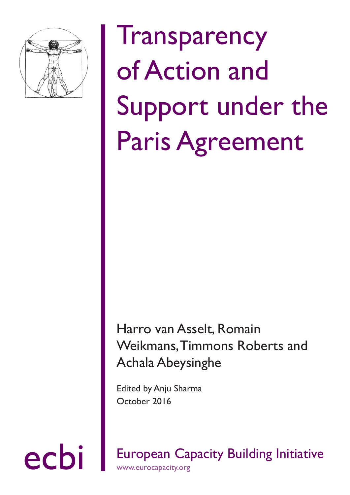

# **Transparency** of Action and Support under the Paris Agreement

### Harro van Asselt, Romain Weikmans, Timmons Roberts and Achala Abeysinghe

Edited by Anju Sharma October 2016

ecbi European Capacity Building Initiative www.eurocapacity.org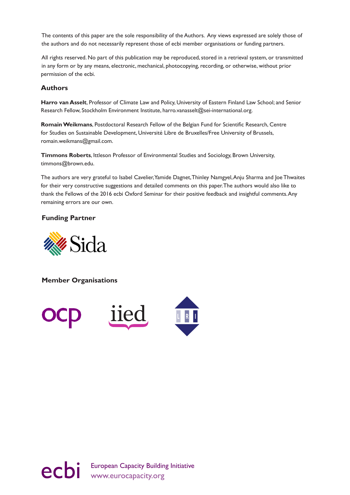The contents of this paper are the sole responsibility of the Authors. Any views expressed are solely those of the authors and do not necessarily represent those of ecbi member organisations or funding partners.

All rights reserved. No part of this publication may be reproduced, stored in a retrieval system, or transmitted in any form or by any means, electronic, mechanical, photocopying, recording, or otherwise, without prior permission of the ecbi.

### **Authors**

**Harro van Asselt**, Professor of Climate Law and Policy, University of Eastern Finland Law School; and Senior Research Fellow, Stockholm Environment Institute, harro.vanasselt@sei-international.org.

**Romain Weikmans**, Postdoctoral Research Fellow of the Belgian Fund for Scientific Research, Centre for Studies on Sustainable Development, Université Libre de Bruxelles/Free University of Brussels, romain.weikmans@gmail.com.

**Timmons Roberts**, Ittleson Professor of Environmental Studies and Sociology, Brown University, timmons@brown.edu.

The authors are very grateful to Isabel Cavelier, Yamide Dagnet, Thinley Namgyel, Anju Sharma and Joe Thwaites for their very constructive suggestions and detailed comments on this paper. The authors would also like to thank the Fellows of the 2016 ecbi Oxford Seminar for their positive feedback and insightful comments. Any remaining errors are our own.

### **Funding Partner**



**Member Organisations**



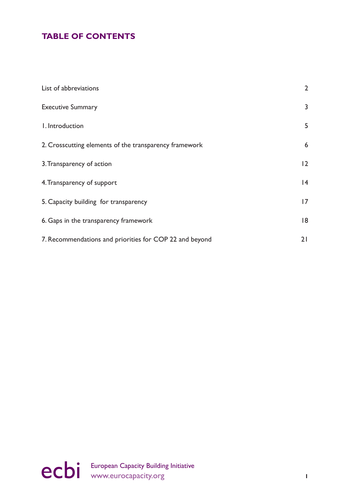### **TABLE OF CONTENTS**

| List of abbreviations                                   | $\overline{2}$ |
|---------------------------------------------------------|----------------|
| <b>Executive Summary</b>                                | 3              |
| I. Introduction                                         | 5              |
| 2. Crosscutting elements of the transparency framework  | 6              |
| 3. Transparency of action                               | 12             |
| 4. Transparency of support                              | 4              |
| 5. Capacity building for transparency                   | 7              |
| 6. Gaps in the transparency framework                   | 18             |
| 7. Recommendations and priorities for COP 22 and beyond | 21             |

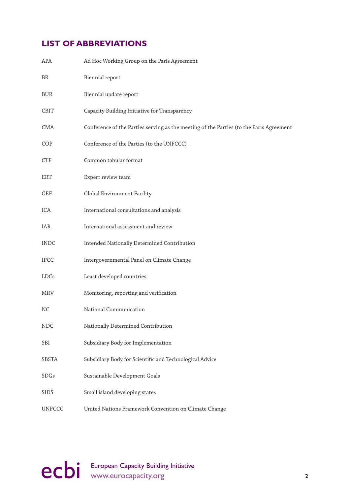### <span id="page-3-0"></span>**LIST OF ABBREVIATIONS**

| APA           | Ad Hoc Working Group on the Paris Agreement                                             |
|---------------|-----------------------------------------------------------------------------------------|
| BR            | Biennial report                                                                         |
| BUR           | Biennial update report                                                                  |
| CBIT          | Capacity Building Initiative for Transparency                                           |
| <b>CMA</b>    | Conference of the Parties serving as the meeting of the Parties (to the Paris Agreement |
| COP           | Conference of the Parties (to the UNFCCC)                                               |
| <b>CTF</b>    | Common tabular format                                                                   |
| ERT           | Expert review team                                                                      |
| GEF           | Global Environment Facility                                                             |
| ICA           | International consultations and analysis                                                |
| IAR           | International assessment and review                                                     |
| <b>INDC</b>   | Intended Nationally Determined Contribution                                             |
| <b>IPCC</b>   | Intergovernmental Panel on Climate Change                                               |
| LDCs          | Least developed countries                                                               |
| MRV           | Monitoring, reporting and verification                                                  |
| NC            | National Communication                                                                  |
| <b>NDC</b>    | Nationally Determined Contribution                                                      |
| SBI           | Subsidiary Body for Implementation                                                      |
| SBSTA         | Subsidiary Body for Scientific and Technological Advice                                 |
| SDGs          | Sustainable Development Goals                                                           |
| <b>SIDS</b>   | Small island developing states                                                          |
| <b>UNFCCC</b> | United Nations Framework Convention on Climate Change                                   |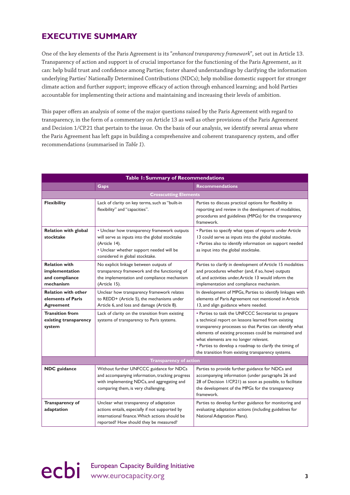### <span id="page-4-0"></span>**EXECUTIVE SUMMARY**

One of the key elements of the Paris Agreement is its "*enhanced transparency framework*", set out in Article 13. Transparency of action and support is of crucial importance for the functioning of the Paris Agreement, as it can: help build trust and confidence among Parties; foster shared understandings by clarifying the information underlying Parties' Nationally Determined Contributions (NDCs); help mobilise domestic support for stronger climate action and further support; improve efficacy of action through enhanced learning; and hold Parties accountable for implementing their actions and maintaining and increasing their levels of ambition.

This paper offers an analysis of some of the major questions raised by the Paris Agreement with regard to transparency, in the form of a commentary on Article 13 as well as other provisions of the Paris Agreement and Decision 1/CP.21 that pertain to the issue. On the basis of our analysis, we identify several areas where the Paris Agreement has left gaps in building a comprehensive and coherent transparency system, and offer recommendations (summarised in *Table 1*).

| Table 1: Summary of Recommendations                                   |                                                                                                                                                                                                |                                                                                                                                                                                                                                                                                                                                                                                            |  |  |  |
|-----------------------------------------------------------------------|------------------------------------------------------------------------------------------------------------------------------------------------------------------------------------------------|--------------------------------------------------------------------------------------------------------------------------------------------------------------------------------------------------------------------------------------------------------------------------------------------------------------------------------------------------------------------------------------------|--|--|--|
|                                                                       | <b>Gaps</b>                                                                                                                                                                                    | <b>Recommendations</b>                                                                                                                                                                                                                                                                                                                                                                     |  |  |  |
| <b>Crosscutting Elements</b>                                          |                                                                                                                                                                                                |                                                                                                                                                                                                                                                                                                                                                                                            |  |  |  |
| <b>Flexibility</b>                                                    | Lack of clarity on key terms, such as "built-in<br>flexibility" and "capacities".                                                                                                              | Parties to discuss practical options for flexibility in<br>reporting and review in the development of modalities,<br>procedures and guidelines (MPGs) for the transparency<br>framework.                                                                                                                                                                                                   |  |  |  |
| <b>Relation with global</b><br>stocktake                              | • Unclear how transparency framework outputs<br>will serve as inputs into the global stocktake<br>(Article 14).<br>• Unclear whether support needed will be<br>considered in global stocktake. | • Parties to specify what types of reports under Article<br>13 could serve as inputs into the global stocktake.<br>• Parties also to identify information on support needed<br>as input into the global stocktake.                                                                                                                                                                         |  |  |  |
| <b>Relation with</b><br>implementation<br>and compliance<br>mechanism | No explicit linkage between outputs of<br>transparency framework and the functioning of<br>the implementation and compliance mechanism<br>(Article 15).                                        | Parties to clarify in development of Article 15 modalities<br>and procedures whether (and, if so, how) outputs<br>of, and activities under, Article 13 would inform the<br>implementation and compliance mechanism.                                                                                                                                                                        |  |  |  |
| <b>Relation with other</b><br>elements of Paris<br><b>Agreement</b>   | Unclear how transparency framework relates<br>to REDD+ (Article 5), the mechanisms under<br>Article 6, and loss and damage (Article 8).                                                        | In development of MPGs, Parties to identify linkages with<br>elements of Paris Agreement not mentioned in Article<br>13, and align guidance where needed.                                                                                                                                                                                                                                  |  |  |  |
| <b>Transition from</b><br>existing transparency<br>system             | Lack of clarity on the transition from existing<br>systems of transparency to Paris systems.                                                                                                   | • Parties to task the UNFCCC Secretariat to prepare<br>a technical report on lessons learned from existing<br>transparency processes so that Parties can identify what<br>elements of existing processes could be maintained and<br>what elements are no longer relevant.<br>• Parties to develop a roadmap to clarify the timing of<br>the transition from existing transparency systems. |  |  |  |
| <b>Transparency of action</b>                                         |                                                                                                                                                                                                |                                                                                                                                                                                                                                                                                                                                                                                            |  |  |  |
| <b>NDC</b> guidance                                                   | Without further UNFCCC guidance for NDCs<br>and accompanying information, tracking progress<br>with implementing NDCs, and aggregating and<br>comparing them, is very challenging.             | Parties to provide further guidance for NDCs and<br>accompanying information (under paragraphs 26 and<br>28 of Decision I/CP.21) as soon as possible, to facilitate<br>the development of the MPGs for the transparency<br>framework.                                                                                                                                                      |  |  |  |
| Transparency of<br>adaptation                                         | Unclear what transparency of adaptation<br>actions entails, especially if not supported by<br>international finance. Which actions should be<br>reported? How should they be measured?         | Parties to develop further guidance for monitoring and<br>evaluating adaptation actions (including guidelines for<br>National Adaptation Plans).                                                                                                                                                                                                                                           |  |  |  |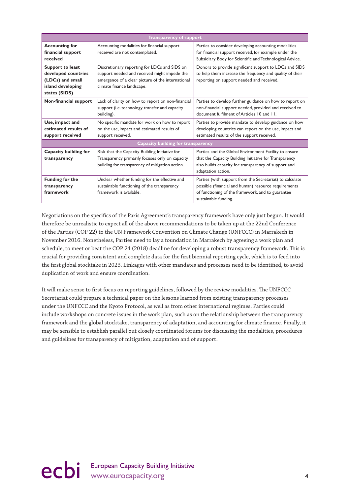| <b>Transparency of support</b>                                                                    |                                                                                                                                                                                 |                                                                                                                                                                                               |  |  |  |
|---------------------------------------------------------------------------------------------------|---------------------------------------------------------------------------------------------------------------------------------------------------------------------------------|-----------------------------------------------------------------------------------------------------------------------------------------------------------------------------------------------|--|--|--|
| <b>Accounting for</b><br>financial support<br>received                                            | Accounting modalities for financial support<br>received are not contemplated.                                                                                                   | Parties to consider developing accounting modalities<br>for financial support received, for example under the<br>Subsidiary Body for Scientific and Technological Advice.                     |  |  |  |
| Support to least<br>developed countries<br>(LDCs) and small<br>island developing<br>states (SIDS) | Discretionary reporting for LDCs and SIDS on<br>support needed and received might impede the<br>emergence of a clear picture of the international<br>climate finance landscape. | Donors to provide significant support to LDCs and SIDS<br>to help them increase the frequency and quality of their<br>reporting on support needed and received.                               |  |  |  |
| Non-financial support                                                                             | Lack of clarity on how to report on non-financial<br>support (i.e. technology transfer and capacity<br>building).                                                               | Parties to develop further guidance on how to report on<br>non-financial support needed, provided and received to<br>document fulfilment of Articles 10 and 11.                               |  |  |  |
| Use, impact and<br>estimated results of<br>support received                                       | No specific mandate for work on how to report<br>on the use, impact and estimated results of<br>support received.                                                               | Parties to provide mandate to develop guidance on how<br>developing countries can report on the use, impact and<br>estimated results of the support received.                                 |  |  |  |
| Capacity building for transparency                                                                |                                                                                                                                                                                 |                                                                                                                                                                                               |  |  |  |
| Capacity building for<br>transparency                                                             | Risk that the Capacity Building Initiative for<br>Transparency primarily focuses only on capacity<br>building for transparency of mitigation action.                            | Parties and the Global Environment Facility to ensure<br>that the Capacity Building Initiative for Transparency<br>also builds capacity for transparency of support and<br>adaptation action. |  |  |  |
| Funding for the<br>transparency<br>framework                                                      | Unclear whether funding for the effective and<br>sustainable functioning of the transparency<br>framework is available.                                                         | Parties (with support from the Secretariat) to calculate<br>possible (financial and human) resource requirements<br>of functioning of the framework, and to guarantee<br>sustainable funding. |  |  |  |

Negotiations on the specifics of the Paris Agreement's transparency framework have only just begun. It would therefore be unrealistic to expect all of the above recommendations to be taken up at the 22nd Conference of the Parties (COP 22) to the UN Framework Convention on Climate Change (UNFCCC) in Marrakech in November 2016. Nonetheless, Parties need to lay a foundation in Marrakech by agreeing a work plan and schedule, to meet or beat the COP 24 (2018) deadline for developing a robust transparency framework. This is crucial for providing consistent and complete data for the first biennial reporting cycle, which is to feed into the first global stocktake in 2023. Linkages with other mandates and processes need to be identified, to avoid duplication of work and ensure coordination.

It will make sense to first focus on reporting guidelines, followed by the review modalities. The UNFCCC Secretariat could prepare a technical paper on the lessons learned from existing transparency processes under the UNFCCC and the Kyoto Protocol, as well as from other international regimes. Parties could include workshops on concrete issues in the work plan, such as on the relationship between the transparency framework and the global stocktake, transparency of adaptation, and accounting for climate finance. Finally, it may be sensible to establish parallel but closely coordinated forums for discussing the modalities, procedures and guidelines for transparency of mitigation, adaptation and of support.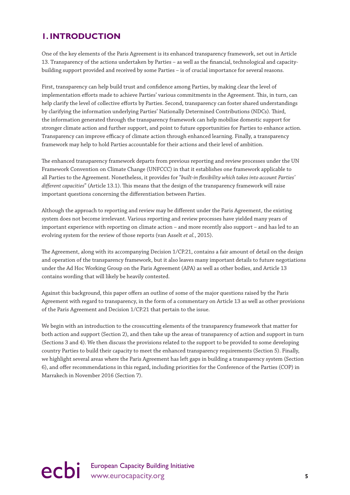### <span id="page-6-0"></span>**1. INTRODUCTION**

One of the key elements of the Paris Agreement is its enhanced transparency framework, set out in Article 13. Transparency of the actions undertaken by Parties – as well as the financial, technological and capacitybuilding support provided and received by some Parties – is of crucial importance for several reasons.

First, transparency can help build trust and confidence among Parties, by making clear the level of implementation efforts made to achieve Parties' various commitments in the Agreement. This, in turn, can help clarify the level of collective efforts by Parties. Second, transparency can foster shared understandings by clarifying the information underlying Parties' Nationally Determined Contributions (NDCs). Third, the information generated through the transparency framework can help mobilise domestic support for stronger climate action and further support, and point to future opportunities for Parties to enhance action. Transparency can improve efficacy of climate action through enhanced learning. Finally, a transparency framework may help to hold Parties accountable for their actions and their level of ambition.

The enhanced transparency framework departs from previous reporting and review processes under the UN Framework Convention on Climate Change (UNFCCC) in that it establishes one framework applicable to all Parties to the Agreement. Nonetheless, it provides for "*built-in flexibility which takes into account Parties' different capacities*" (Article 13.1). This means that the design of the transparency framework will raise important questions concerning the differentiation between Parties.

Although the approach to reporting and review may be different under the Paris Agreement, the existing system does not become irrelevant. Various reporting and review processes have yielded many years of important experience with reporting on climate action – and more recently also support – and has led to an evolving system for the review of those reports (van Asselt *et al.*, 2015).

The Agreement, along with its accompanying Decision 1/CP.21, contains a fair amount of detail on the design and operation of the transparency framework, but it also leaves many important details to future negotiations under the Ad Hoc Working Group on the Paris Agreement (APA) as well as other bodies, and Article 13 contains wording that will likely be heavily contested.

Against this background, this paper offers an outline of some of the major questions raised by the Paris Agreement with regard to transparency, in the form of a commentary on Article 13 as well as other provisions of the Paris Agreement and Decision 1/CP.21 that pertain to the issue.

We begin with an introduction to the crosscutting elements of the transparency framework that matter for both action and support (Section 2), and then take up the areas of transparency of action and support in turn (Sections 3 and 4). We then discuss the provisions related to the support to be provided to some developing country Parties to build their capacity to meet the enhanced transparency requirements (Section 5). Finally, we highlight several areas where the Paris Agreement has left gaps in building a transparency system (Section 6), and offer recommendations in this regard, including priorities for the Conference of the Parties (COP) in Marrakech in November 2016 (Section 7).

## ecbi European Capacity Building Initiative<br>
s<br> **S**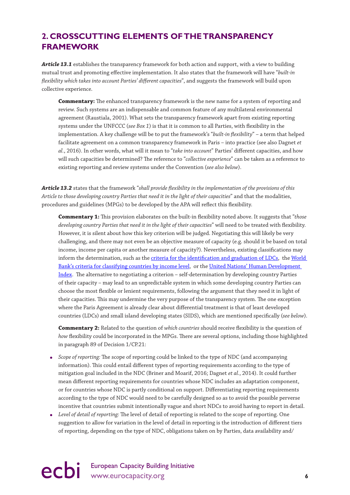### <span id="page-7-0"></span>**2. CROSSCUTTING ELEMENTS OF THE TRANSPARENCY FRAMEWORK**

*Article 13.1* establishes the transparency framework for both action and support, with a view to building mutual trust and promoting effective implementation. It also states that the framework will have "*built-in flexibility which takes into account Parties' different capacities*", and suggests the framework will build upon collective experience.

**Commentary:** The enhanced transparency framework is the new name for a system of reporting and review. Such systems are an indispensable and common feature of any multilateral environmental agreement (Raustiala, 2001). What sets the transparency framework apart from existing reporting systems under the UNFCCC (*see Box 1*) is that it is common to all Parties, with flexibility in the implementation. A key challenge will be to put the framework's "*built-in flexibility*" – a term that helped facilitate agreement on a common transparency framework in Paris – into practice (see also Dagnet *et al.*, 2016). In other words, what will it mean to "*take into account*" Parties' different capacities, and how will such capacities be determined? The reference to "*collective experience*" can be taken as a reference to existing reporting and review systems under the Convention (*see also below*).

*Article 13.2* states that the framework "*shall provide flexibility in the implementation of the provisions of this Article to those developing country Parties that need it in the light of their capacities*" and that the modalities, procedures and guidelines (MPGs) to be developed by the APA will reflect this flexibility.

**Commentary 1:** This provision elaborates on the built-in flexibility noted above. It suggests that "*those developing country Parties that need it in the light of their capacities*" will need to be treated with flexibility. However, it is silent about how this key criterion will be judged. Negotiating this will likely be very challenging, and there may not even be an objective measure of capacity (e.g. should it be based on total income, income per capita or another measure of capacity?). Nevertheless, existing classifications may inform the determination, such as the [criteria for the identification and graduation of LDCs](http://unohrlls.org/about-ldcs/criteria-for-ldcs/), the [World](https://datahelpdesk.worldbank.org/knowledgebase/articles/906519-world-bank-country-and-lending-groups)  [Bank's criteria for classifying countries by income level](https://datahelpdesk.worldbank.org/knowledgebase/articles/906519-world-bank-country-and-lending-groups), or the [United Nations' Human Development](http://hdr.undp.org/en/content/human-development-index-hdi)  [Index.](http://hdr.undp.org/en/content/human-development-index-hdi) The alternative to negotiating a criterion – self-determination by developing country Parties of their capacity – may lead to an unpredictable system in which some developing country Parties can choose the most flexible or lenient requirements, following the argument that they need it in light of their capacities. This may undermine the very purpose of the transparency system. The one exception where the Paris Agreement is already clear about differential treatment is that of least developed countries (LDCs) and small island developing states (SIDS), which are mentioned specifically (*see below*).

**Commentary 2:** Related to the question of *which countries* should receive flexibility is the question of *how* flexibility could be incorporated in the MPGs. There are several options, including those highlighted in paragraph 89 of Decision 1/CP.21:

- *Scope of reporting:* The scope of reporting could be linked to the type of NDC (and accompanying information). This could entail different types of reporting requirements according to the type of mitigation goal included in the NDC (Briner and Moarif, 2016; Dagnet *et al.*, 2014). It could further mean different reporting requirements for countries whose NDC includes an adaptation component, or for countries whose NDC is partly conditional on support. Differentiating reporting requirements according to the type of NDC would need to be carefully designed so as to avoid the possible perverse incentive that countries submit intentionally vague and short NDCs to avoid having to report in detail.
- *Level of detail of reporting:* The level of detail of reporting is related to the scope of reporting. One suggestion to allow for variation in the level of detail in reporting is the introduction of different tiers of reporting, depending on the type of NDC, obligations taken on by Parties, data availability and/

## ecbi European Capacity Building Initiative **6**<br> **example 20** intervention of the www.eurocapacity.org **6**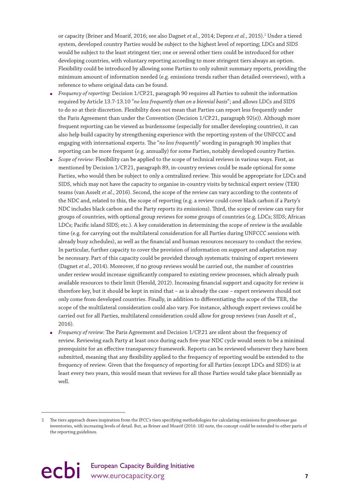or capacity (Briner and Moarif, 2016; see also Dagnet *et al.*, 2014; Deprez *et al.*, 2015).<sup>1</sup> Under a tiered system, developed country Parties would be subject to the highest level of reporting; LDCs and SIDS would be subject to the least stringent tier; one or several other tiers could be introduced for other developing countries, with voluntary reporting according to more stringent tiers always an option. Flexibility could be introduced by allowing some Parties to only submit summary reports, providing the minimum amount of information needed (e.g. emissions trends rather than detailed overviews), with a reference to where original data can be found.

- *Frequency of reporting:* Decision 1/CP.21, paragraph 90 requires all Parties to submit the information required by Article 13.7-13.10 "*no less frequently than on a biennial basis*"; and allows LDCs and SIDS to do so at their discretion. Flexibility does not mean that Parties can report less frequently under the Paris Agreement than under the Convention (Decision 1/CP.21, paragraph 92(e)). Although more frequent reporting can be viewed as burdensome (especially for smaller developing countries), it can also help build capacity by strengthening experience with the reporting system of the UNFCCC and engaging with international experts. The "*no less frequently*" wording in paragraph 90 implies that reporting can be more frequent (e.g. annually) for some Parties, notably developed country Parties.
- *Scope of review:* Flexibility can be applied to the scope of technical reviews in various ways. First, as mentioned by Decision 1/CP.21, paragraph 89, in-country reviews could be made optional for some Parties, who would then be subject to only a centralized review. This would be appropriate for LDCs and SIDS, which may not have the capacity to organise in-country visits by technical expert review (TER) teams (van Asselt *et al.*, 2016). Second, the scope of the review can vary according to the contents of the NDC and, related to this, the scope of reporting (e.g. a review could cover black carbon if a Party's NDC includes black carbon and the Party reports its emissions). Third, the scope of review can vary for groups of countries, with optional group reviews for some groups of countries (e.g. LDCs; SIDS; African LDCs; Pacific island SIDS; etc.). A key consideration in determining the scope of review is the available time (e.g. for carrying out the multilateral consideration for all Parties during UNFCCC sessions with already busy schedules), as well as the financial and human resources necessary to conduct the review. In particular, further capacity to cover the provision of information on support and adaptation may be necessary. Part of this capacity could be provided through systematic training of expert reviewers (Dagnet *et al.*, 2014). Moreover, if no group reviews would be carried out, the number of countries under review would increase significantly compared to existing review processes, which already push available resources to their limit (Herold, 2012). Increasing financial support and capacity for review is therefore key, but it should be kept in mind that – as is already the case – expert reviewers should not only come from developed countries. Finally, in addition to differentiating the scope of the TER, the scope of the multilateral consideration could also vary. For instance, although expert reviews could be carried out for all Parties, multilateral consideration could allow for group reviews (van Asselt *et al.*, 2016).
- *Frequency of review:* The Paris Agreement and Decision 1/CP.21 are silent about the frequency of review. Reviewing each Party at least once during each five-year NDC cycle would seem to be a minimal prerequisite for an effective transparency framework. Reports can be reviewed whenever they have been submitted, meaning that any flexibility applied to the frequency of reporting would be extended to the frequency of review. Given that the frequency of reporting for all Parties (except LDCs and SIDS) is at least every two years, this would mean that reviews for all those Parties would take place biennially as well.

<sup>1</sup> The tiers approach draws inspiration from the IPCC's tiers specifying methodologies for calculating emissions for greenhouse gas inventories, with increasing levels of detail. But, as Briner and Moarif (2016: 18) note, the concept could be extended to other parts of the reporting guidelines.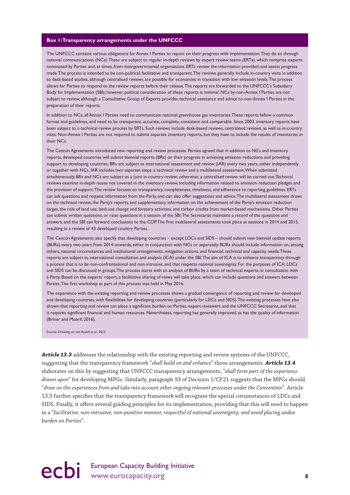#### **Box 1: Transparency arrangements under the UNFCCC**

The UNFCCC contains various obligations for Annex I Parties to report on their progress with implementation. They do so through national communications (NCs). These are subject to regular in-depth reviews by expert review teams (ERTs), which comprise experts nominated by Parties and, at times, from intergovernmental organsations. ERTs review the information provided, and assess progress made. The process is intended to be non-political, facilitative and transparent. The reviews generally include in-country visits in addition to desk-based studies, although centralised reviews are possible for economies in transition with low emission levels. The process allows for Parties to respond to the review reports before their release. The reports are forwarded to the UNFCCC's Subsidiary Body for Implementation (SBI); however, political consideration of these reports is minimal. NCs by non-Annex I Parties are not subject to review, although a Consultative Group of Experts provides technical assistance and advice to non-Annex I Parties in the preparation of their reports.

In addition to NCs, all Annex I Parties need to communicate national greenhouse gas inventories. These reports follow a common format and guidelines, and need to be transparent, accurate, complete, consistent and comparable. Since 2003, inventory reports have been subject to a technical review process by ERTs. Such reviews include desk-based reviews, centralised reviews, as well as in-country visits. Non-Annex I Parties are not required to submit separate inventory reports, but they have to include the results of inventories in their NCs.

The Cancún Agreements introduced new reporting and review processes. Parties agreed that in addition to NCs and inventory reports, developed countries will submit biennial reports (BRs) on their progress in achieving emission reductions and providing support to developing countries. BRs are subject to international assessment and review (IAR) every two years, either independently or together with NCs. IAR includes two separate steps: a technical review and a multilateral assessment. When submitted simultaneously, BRs and NCs are subject to a joint in-country review; otherwise, a centralised review will be carried out. Technical reviews examine in-depth issues not covered in the inventory review, including information related to emission reduction pledges and the provision of support. The review focuses on transparency, completeness, timeliness, and adherence to reporting guidelines. ERTs can ask questions and request information from the Party, and can also offer suggestions and advice. The multilateral assessment draws on the technical review, the Party's reports, and supplementary information on the achievement of the Party's emission reduction target, the role of land use, land-use change and forestry activities, and carbon credits from market-based mechanisms. Other Parties can submit written questions, or raise questions in a session of the SBI. The Secretariat maintains a record of the questions and answers, and the SBI can forward conclusions to the COP. The first multilateral assessments took place at sessions in 2014 and 2015, resulting in a review of 43 developed country Parties.

The Cancún Agreements also specify that developing countries – except LDCs and SIDS – should submit new biennial update reports (BURs) every two years from 2014 onwards, either in conjunction with NCs or separately. BURs should include information on, among others, national circumstances and institutional arrangements, mitigation actions, and financial, technical and capacity needs. These reports are subject to international consultation and analysis (ICA) under the SBI. The aim of ICA is to enhance transparency through a process that is to be non-confrontational and non-intrusive, and that respects national sovereignty. For the purposes of ICA, LDCs and SIDS can be discussed in groups. The process starts with an analysis of BURs by a team of technical experts, in consultation with a Party. Based on the experts' report, a facilitative sharing of views will take place, which can include questions and answers between Parties. The first workshop as part of this process was held in May 2016.

The experience with the existing reporting and review processes shows a gradual convergence of reporting and review for developed and developing countries, with flexibilities for developing countries (particularly for LDCs and SIDS). The existing processes have also shown that reporting and review can place a significant burden on Parties, expert reviewers and the UNFCCC Secretariat, and that it requires significant financial and human resources. Nevertheless, reporting has generally improved, as has the quality of information (Briner and Moarif, 2016).

Source: Drawing on van Asselt *et al.*, 2015

*Article 13.3* addresses the relationship with the existing reporting and review systems of the UNFCCC, suggesting that the transparency framework "*shall build on and enhance*" those arrangements. *Article 13.4* elaborates on this by suggesting that UNFCCC transparency arrangements, "*shall form part of the experience drawn upon*" for developing MPGs. Similarly, paragraph 93 of Decision 1/CP.21 suggests that the MPGs should "*draw on the experiences from and take into account other ongoing relevant processes under the Convention*". Article 13.3 further specifies that the transparency framework will recognise the special circumstances of LDCs and SIDS. Finally, it offers several guiding principles for its implementation, providing that this will need to happen in a "*facilitative, non-intrusive, non-punitive manner, respectful of national sovereignty, and avoid placing undue burden on Parties*".

## ecbi European Capacity Building Initiative<br>
8<sup>8</sup>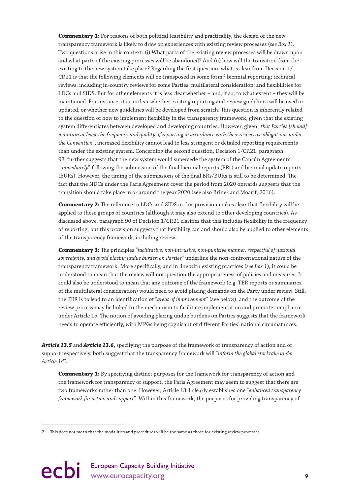**Commentary 1:** For reasons of both political feasibility and practicality, the design of the new transparency framework is likely to draw on experiences with existing review processes (*see Box 1*). Two questions arise in this context: (i) What parts of the existing review processes will be drawn upon and what parts of the existing processes will be abandoned? And (ii) how will the transition from the existing to the new system take place? Regarding the first question, what is clear from Decision 1/ CP.21 is that the following elements will be transposed in some form:<sup>2</sup> biennial reporting; technical reviews, including in-country reviews for some Parties; multilateral consideration; and flexibilities for LDCs and SIDS. But for other elements it is less clear whether – and, if so, to what extent – they will be maintained. For instance, it is unclear whether existing reporting and review guidelines will be used or updated, or whether new guidelines will be developed from scratch. This question is inherently related to the question of how to implement flexibility in the transparency framework, given that the existing system differentiates between developed and developing countries. However, given "*that Parties [should] maintain at least the frequency and quality of reporting in accordance with their respective obligations under the Convention*", increased flexibility cannot lead to less stringent or detailed reporting requirements than under the existing system. Concerning the second question, Decision 1/CP.21, paragraph 98, further suggests that the new system would supersede the system of the Cancún Agreements "*immediately*" following the submission of the final biennial reports (BRs) and biennial update reports (BURs). However, the timing of the submissions of the final BRs/BURs is still to be determined. The fact that the NDCs under the Paris Agreement cover the period from 2020 onwards suggests that the transition should take place in or around the year 2020 (see also Briner and Moarif, 2016).

**Commentary 2:** The reference to LDCs and SIDS in this provision makes clear that flexibility will be applied to these groups of countries (although it may also extend to other developing countries). As discussed above, paragraph 90 of Decision 1/CP.21 clarifies that this includes flexibility in the frequency of reporting, but this provision suggests that flexibility can and should also be applied to other elements of the transparency framework, including review.

**Commentary 3:** The principles "*facilitative, non-intrusive, non-punitive manner, respectful of national sovereignty, and avoid placing undue burden on Parties*" underline the non-confrontational nature of the transparency framework. More specifically, and in line with existing practices (*see Box 1*), it could be understood to mean that the review will not question the appropriateness of policies and measures. It could also be understood to mean that any outcome of the framework (e.g. TER reports or summaries of the multilateral consideration) would need to avoid placing demands on the Party under review. Still, the TER is to lead to an identification of "*areas of improvement*" (see below), and the outcome of the review process may be linked to the mechanism to facilitate implementation and promote compliance under Article 15. The notion of avoiding placing undue burdens on Parties suggests that the framework needs to operate efficiently, with MPGs being cognisant of different Parties' national circumstances.

*Article 13.5* and *Article 13.6*, specifying the purpose of the framework of transparency of action and of support respectively, both suggest that the transparency framework will "*inform the global stocktake under Article 14*".

**Commentary 1:** By specifying distinct purposes for the framework for transparency of action and the framework for transparency of support, the Paris Agreement may seem to suggest that there are two frameworks rather than one. However, Article 13.1 clearly establishes one "*enhanced transparency framework for action and support*". Within this framework, the purposes for providing transparency of

<sup>2</sup> This does not mean that the modalities and procedures will be the same as those for existing review processes.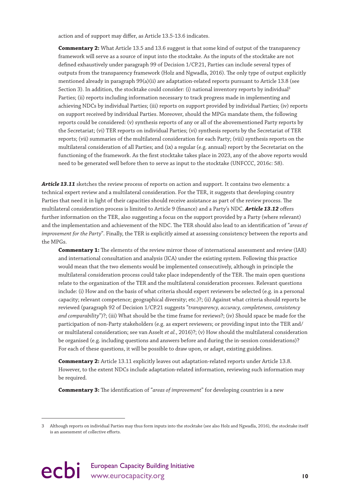action and of support may differ, as Article 13.5-13.6 indicates.

**Commentary 2:** What Article 13.5 and 13.6 suggest is that some kind of output of the transparency framework will serve as a source of input into the stocktake. As the inputs of the stocktake are not defined exhaustively under paragraph 99 of Decision 1/CP.21, Parties can include several types of outputs from the transparency framework (Holz and Ngwadla, 2016). The only type of output explicitly mentioned already in paragraph 99(a)(ii) are adaptation-related reports pursuant to Article 13.8 (see Section 3). In addition, the stocktake could consider: (i) national inventory reports by individual<sup>3</sup> Parties; (ii) reports including information necessary to track progress made in implementing and achieving NDCs by individual Parties; (iii) reports on support provided by individual Parties; (iv) reports on support received by individual Parties. Moreover, should the MPGs mandate them, the following reports could be considered: (v) synthesis reports of any or all of the abovementioned Party reports by the Secretariat; (vi) TER reports on individual Parties; (vi) synthesis reports by the Secretariat of TER reports; (vii) summaries of the multilateral consideration for each Party; (viii) synthesis reports on the multilateral consideration of all Parties; and (ix) a regular (e.g. annual) report by the Secretariat on the functioning of the framework. As the first stocktake takes place in 2023, any of the above reports would need to be generated well before then to serve as input to the stocktake (UNFCCC, 2016c: 58).

*Article 13.11* sketches the review process of reports on action and support. It contains two elements: a technical expert review and a multilateral consideration. For the TER, it suggests that developing country Parties that need it in light of their capacities should receive assistance as part of the review process. The multilateral consideration process is limited to Article 9 (finance) and a Party's NDC. *Article 13.12* offers further information on the TER, also suggesting a focus on the support provided by a Party (where relevant) and the implementation and achievement of the NDC. The TER should also lead to an identification of "*areas of improvement for the Party*". Finally, the TER is explicitly aimed at assessing consistency between the reports and the MPGs.

**Commentary 1:** The elements of the review mirror those of international assessment and review (IAR) and international consultation and analysis (ICA) under the existing system. Following this practice would mean that the two elements would be implemented consecutively, although in principle the multilateral consideration process could take place independently of the TER. The main open questions relate to the organization of the TER and the multilateral consideration processes. Relevant questions include: (i) How and on the basis of what criteria should expert reviewers be selected (e.g. in a personal capacity; relevant competence; geographical diversity; etc.)?; (ii) Against what criteria should reports be reviewed (paragraph 92 of Decision 1/CP.21 suggests "*transparency, accuracy, completeness, consistency and comparability*")?; (iii) What should be the time frame for reviews?; (iv) Should space be made for the participation of non-Party stakeholders (e.g. as expert reviewers; or providing input into the TER and/ or multilateral consideration; see van Asselt *et al.*, 2016)?; (v) How should the multilateral consideration be organised (e.g. including questions and answers before and during the in-session considerations)? For each of these questions, it will be possible to draw upon, or adapt, existing guidelines.

**Commentary 2:** Article 13.11 explicitly leaves out adaptation-related reports under Article 13.8. However, to the extent NDCs include adaptation-related information, reviewing such information may be required.

**Commentary 3:** The identification of "*areas of improvement*" for developing countries is a new

<sup>3</sup> Although reports on individual Parties may thus form inputs into the stocktake (see also Holz and Ngwadla, 2016), the stocktake itself is an assessment of collective efforts.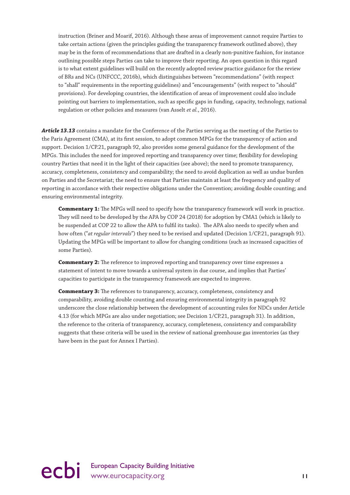instruction (Briner and Moarif, 2016). Although these areas of improvement cannot require Parties to take certain actions (given the principles guiding the transparency framework outlined above), they may be in the form of recommendations that are drafted in a clearly non-punitive fashion, for instance outlining possible steps Parties can take to improve their reporting. An open question in this regard is to what extent guidelines will build on the recently adopted review practice guidance for the review of BRs and NCs (UNFCCC, 2016b), which distinguishes between "recommendations" (with respect to "shall" requirements in the reporting guidelines) and "encouragements" (with respect to "should" provisions). For developing countries, the identification of areas of improvement could also include pointing out barriers to implementation, such as specific gaps in funding, capacity, technology, national regulation or other policies and measures (van Asselt *et al.*, 2016).

*Article 13.13* contains a mandate for the Conference of the Parties serving as the meeting of the Parties to the Paris Agreement (CMA), at its first session, to adopt common MPGs for the transparency of action and support. Decision 1/CP.21, paragraph 92, also provides some general guidance for the development of the MPGs. This includes the need for improved reporting and transparency over time; flexibility for developing country Parties that need it in the light of their capacities (see above); the need to promote transparency, accuracy, completeness, consistency and comparability; the need to avoid duplication as well as undue burden on Parties and the Secretariat; the need to ensure that Parties maintain at least the frequency and quality of reporting in accordance with their respective obligations under the Convention; avoiding double counting; and ensuring environmental integrity.

**Commentary 1:** The MPGs will need to specify how the transparency framework will work in practice. They will need to be developed by the APA by COP 24 (2018) for adoption by CMA1 (which is likely to be suspended at COP 22 to allow the APA to fulfil its tasks). The APA also needs to specify when and how often ("*at regular intervals*") they need to be revised and updated (Decision 1/CP.21, paragraph 91). Updating the MPGs will be important to allow for changing conditions (such as increased capacities of some Parties).

**Commentary 2:** The reference to improved reporting and transparency over time expresses a statement of intent to move towards a universal system in due course, and implies that Parties' capacities to participate in the transparency framework are expected to improve.

**Commentary 3:** The references to transparency, accuracy, completeness, consistency and comparability, avoiding double counting and ensuring environmental integrity in paragraph 92 underscore the close relationship between the development of accounting rules for NDCs under Article 4.13 (for which MPGs are also under negotiation; see Decision 1/CP.21, paragraph 31). In addition, the reference to the criteria of transparency, accuracy, completeness, consistency and comparability suggests that these criteria will be used in the review of national greenhouse gas inventories (as they have been in the past for Annex I Parties).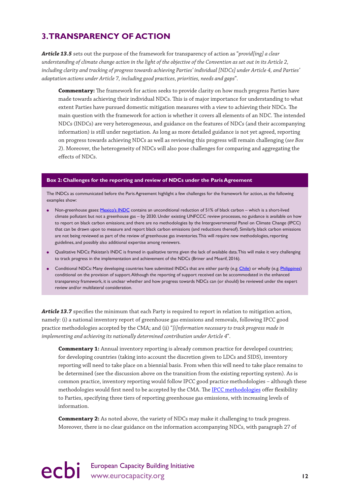### <span id="page-13-0"></span>**3. TRANSPARENCY OF ACTION**

*Article 13.5* sets out the purpose of the framework for transparency of action as "*provid[ing] a clear understanding of climate change action in the light of the objective of the Convention as set out in its Article 2, including clarity and tracking of progress towards achieving Parties' individual [NDCs] under Article 4, and Parties' adaptation actions under Article 7, including good practices, priorities, needs and gaps*".

**Commentary:** The framework for action seeks to provide clarity on how much progress Parties have made towards achieving their individual NDCs. This is of major importance for understanding to what extent Parties have pursued domestic mitigation measures with a view to achieving their NDCs. The main question with the framework for action is whether it covers all elements of an NDC. The intended NDCs (INDCs) are very heterogeneous, and guidance on the features of NDCs (and their accompanying information) is still under negotiation. As long as more detailed guidance is not yet agreed, reporting on progress towards achieving NDCs as well as reviewing this progress will remain challenging (*see Box 2*). Moreover, the heterogeneity of NDCs will also pose challenges for comparing and aggregating the effects of NDCs.

#### **Box 2: Challenges for the reporting and review of NDCs under the Paris Agreement**

The INDCs as communicated before the Paris Agreement highlight a few challenges for the framework for action, as the following examples show:

- Non-greenhouse gases: [Mexico's INDC](http://www4.unfccc.int/submissions/INDC/Published%20Documents/Mexico/1/MEXICO%20INDC%2003.30.2015.pdf) contains an unconditional reduction of 51% of black carbon which is a short-lived climate pollutant but not a greenhouse gas – by 2030. Under existing UNFCCC review processes, no guidance is available on how to report on black carbon emissions; and there are no methodologies by the Intergovernmental Panel on Climate Change (IPCC) that can be drawn upon to measure and report black carbon emissions (and reductions thereof). Similarly, black carbon emissions are not being reviewed as part of the review of greenhouse gas inventories. This will require new methodologies, reporting guidelines, and possibly also additional expertise among reviewers.
- Qualitative NDCs: Pakistan's INDC is framed in qualitative terms given the lack of available data. This will make it very challenging to track progress in the implementation and achievement of the NDCs (Briner and Moarif, 2016).
- Conditional NDCs: Many developing countries have submitted INDCs that are either partly (e.g. [Chile](http://www4.unfccc.int/Submissions/INDC/Published%20Documents/Chile/1/INDC%20Chile%20english%20version.pdf)) or wholly (e.g. [Philippines\)](http://www4.unfccc.int/submissions/INDC/Published%20Documents/Philippines/1/Philippines%20-%20Final%20INDC%20submission.pdf) conditional on the provision of support. Although the reporting of support received can be accommodated in the enhanced transparency framework, it is unclear whether and how progress towards NDCs can (or should) be reviewed under the expert review and/or multilateral consideration.

Article 13.7 specifies the minimum that each Party is required to report in relation to mitigation action, namely: (i) a national inventory report of greenhouse gas emissions and removals, following IPCC good practice methodologies accepted by the CMA; and (ii) "*[i]nformation necessary to track progress made in implementing and achieving its nationally determined contribution under Article 4*".

**Commentary 1:** Annual inventory reporting is already common practice for developed countries; for developing countries (taking into account the discretion given to LDCs and SIDS), inventory reporting will need to take place on a biennial basis. From when this will need to take place remains to be determined (see the discussion above on the transition from the existing reporting system). As is common practice, inventory reporting would follow IPCC good practice methodologies – although these methodologies would first need to be accepted by the CMA. The [IPCC methodologies](http://www.ipcc-nggip.iges.or.jp/public/2006gl/) offer flexibility to Parties, specifying three tiers of reporting greenhouse gas emissions, with increasing levels of information.

**Commentary 2:** As noted above, the variety of NDCs may make it challenging to track progress. Moreover, there is no clear guidance on the information accompanying NDCs, with paragraph 27 of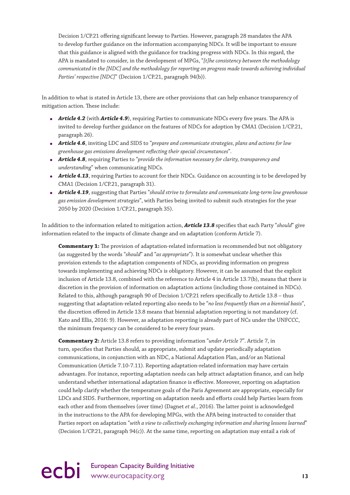Decision 1/CP.21 offering significant leeway to Parties. However, paragraph 28 mandates the APA to develop further guidance on the information accompanying NDCs. It will be important to ensure that this guidance is aligned with the guidance for tracking progress with NDCs. In this regard, the APA is mandated to consider, in the development of MPGs, "*[t]he consistency between the methodology communicated in the [NDC] and the methodology for reporting on progress made towards achieving individual Parties' respective [NDC]*" (Decision 1/CP.21, paragraph 94(b)).

In addition to what is stated in Article 13, there are other provisions that can help enhance transparency of mitigation action. These include:

- *Article 4.2* (with *Article 4.9*), requiring Parties to communicate NDCs every five years. The APA is invited to develop further guidance on the features of NDCs for adoption by CMA1 (Decision 1/CP.21, paragraph 26).
- *Article 4.6*, inviting LDC and SIDS to "*prepare and communicate strategies, plans and actions for low greenhouse gas emissions development reflecting their special circumstances*".
- *Article 4.8*, requiring Parties to "*provide the information necessary for clarity, transparency and understanding*" when communicating NDCs.
- *Article 4.13*, requiring Parties to account for their NDCs. Guidance on accounting is to be developed by CMA1 (Decision 1/CP.21, paragraph 31).
- *Article 4.19*, suggesting that Parties "*should strive to formulate and communicate long-term low greenhouse gas emission development strategies*", with Parties being invited to submit such strategies for the year 2050 by 2020 (Decision 1/CP.21, paragraph 35).

In addition to the information related to mitigation action, *Article 13.8* specifies that each Party "*should*" give information related to the impacts of climate change and on adaptation (conform Article 7).

**Commentary 1:** The provision of adaptation-related information is recommended but not obligatory (as suggested by the words "*should*" and "*as appropriate*"). It is somewhat unclear whether this provision extends to the adaptation components of NDCs, as providing information on progress towards implementing and achieving NDCs is obligatory. However, it can be assumed that the explicit inclusion of Article 13.8, combined with the reference to Article 4 in Article 13.7(b), means that there is discretion in the provision of information on adaptation actions (including those contained in NDCs). Related to this, although paragraph 90 of Decision 1/CP.21 refers specifically to Article 13.8 – thus suggesting that adaptation-related reporting also needs to be "*no less frequently than on a biennial basis*", the discretion offered in Article 13.8 means that biennial adaptation reporting is not mandatory (cf. Kato and Ellis, 2016: 9). However, as adaptation reporting is already part of NCs under the UNFCCC, the minimum frequency can be considered to be every four years.

**Commentary 2:** Article 13.8 refers to providing information "*under Article 7*". Article 7, in turn, specifies that Parties should, as appropriate, submit and update periodically adaptation communications, in conjunction with an NDC, a National Adaptation Plan, and/or an National Communication (Article 7.10-7.11). Reporting adaptation-related information may have certain advantages. For instance, reporting adaptation needs can help attract adaptation finance, and can help understand whether international adaptation finance is effective. Moreover, reporting on adaptation could help clarify whether the temperature goals of the Paris Agreement are appropriate, especially for LDCs and SIDS. Furthermore, reporting on adaptation needs and efforts could help Parties learn from each other and from themselves (over time) (Dagnet *et al.*, 2016). The latter point is acknowledged in the instructions to the APA for developing MPGs, with the APA being instructed to consider that Parties report on adaptation "*with a view to collectively exchanging information and sharing lessons learned*" (Decision 1/CP.21, paragraph 94(c)). At the same time, reporting on adaptation may entail a risk of

## ecbi European Capacity Building Initiative<br>
13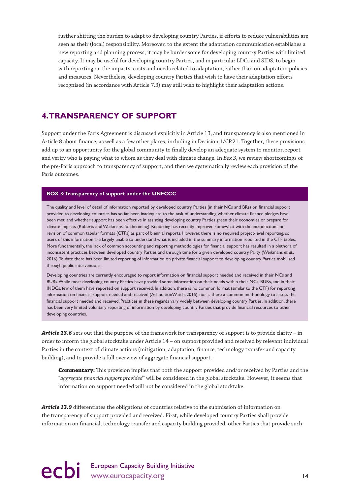<span id="page-15-0"></span>further shifting the burden to adapt to developing country Parties, if efforts to reduce vulnerabilities are seen as their (local) responsibility. Moreover, to the extent the adaptation communication establishes a new reporting and planning process, it may be burdensome for developing country Parties with limited capacity. It may be useful for developing country Parties, and in particular LDCs and SIDS, to begin with reporting on the impacts, costs and needs related to adaptation, rather than on adaptation policies and measures. Nevertheless, developing country Parties that wish to have their adaptation efforts recognised (in accordance with Article 7.3) may still wish to highlight their adaptation actions.

### **4. TRANSPARENCY OF SUPPORT**

Support under the Paris Agreement is discussed explicitly in Article 13, and transparency is also mentioned in Article 8 about finance, as well as a few other places, including in Decision 1/CP.21. Together, these provisions add up to an opportunity for the global community to finally develop an adequate system to monitor, report and verify who is paying what to whom as they deal with climate change. In *Box 3*, we review shortcomings of the pre-Paris approach to transparency of support, and then we systematically review each provision of the Paris outcomes.

#### **BOX 3: Transparency of support under the UNFCCC**

The quality and level of detail of information reported by developed country Parties (in their NCs and BRs) on financial support provided to developing countries has so far been inadequate to the task of understanding whether climate finance pledges have been met, and whether support has been effective in assisting developing country Parties green their economies or prepare for climate impacts (Roberts and Weikmans, forthcoming). Reporting has recently improved somewhat with the introduction and revision of common tabular formats (CTFs) as part of biennial reports. However, there is no required project-level reporting, so users of this information are largely unable to understand what is included in the summary information reported in the CTF tables. More fundamentally, the lack of common accounting and reporting methodologies for financial support has resulted in a plethora of inconsistent practices between developed country Parties and through time for a given developed country Party (Weikmans *et al.*, 2016). To date there has been limited reporting of information on private financial support to developing country Parties mobilised through public interventions.

Developing countries are currently encouraged to report information on financial support needed and received in their NCs and BURs. While most developing country Parties have provided some information on their needs within their NCs, BURs, and in their INDCs, few of them have reported on support received. In addition, there is no common format (similar to the CTF) for reporting information on financial support needed and received (AdaptationWatch, 2015), nor is there a common methodology to assess the financial support needed and received. Practices in these regards vary widely between developing country Parties. In addition, there has been very limited voluntary reporting of information by developing country Parties that provide financial resources to other developing countries.

*Article 13.6* sets out that the purpose of the framework for transparency of support is to provide clarity – in order to inform the global stocktake under Article 14 – on support provided and received by relevant individual Parties in the context of climate actions (mitigation, adaptation, finance, technology transfer and capacity building), and to provide a full overview of aggregate financial support.

**Commentary:** This provision implies that both the support provided and/or received by Parties and the "*aggregate financial support provided*" will be considered in the global stocktake. However, it seems that information on support needed will not be considered in the global stocktake.

*Article 13.9* differentiates the obligations of countries relative to the submission of information on the transparency of support provided and received. First, while developed country Parties shall provide information on financial, technology transfer and capacity building provided, other Parties that provide such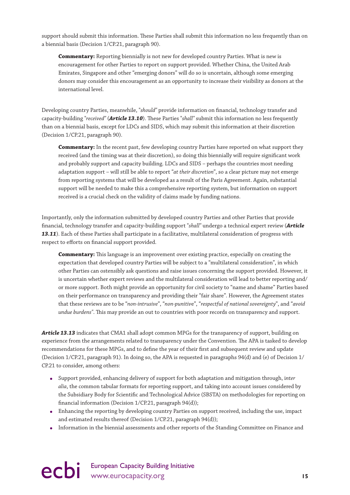support should submit this information. These Parties shall submit this information no less frequently than on a biennial basis (Decision 1/CP.21, paragraph 90).

**Commentary:** Reporting biennially is not new for developed country Parties. What is new is encouragement for other Parties to report on support provided. Whether China, the United Arab Emirates, Singapore and other "emerging donors" will do so is uncertain, although some emerging donors may consider this encouragement as an opportunity to increase their visibility as donors at the international level.

Developing country Parties, meanwhile, "*should"* provide information on financial, technology transfer and capacity-building "*received"* (*Article 13.10*). These Parties "*shall"* submit this information no less frequently than on a biennial basis, except for LDCs and SIDS, which may submit this information at their discretion (Decision 1/CP.21, paragraph 90).

**Commentary:** In the recent past, few developing country Parties have reported on what support they received (and the timing was at their discretion), so doing this biennially will require significant work and probably support and capacity building. LDCs and SIDS – perhaps the countries most needing adaptation support – will still be able to report "*at their discretion*", so a clear picture may not emerge from reporting systems that will be developed as a result of the Paris Agreement. Again, substantial support will be needed to make this a comprehensive reporting system, but information on support received is a crucial check on the validity of claims made by funding nations.

Importantly, only the information submitted by developed country Parties and other Parties that provide financial, technology transfer and capacity-building support "*shall"* undergo a technical expert review (*Article 13.11*). Each of these Parties shall participate in a facilitative, multilateral consideration of progress with respect to efforts on financial support provided.

**Commentary:** This language is an improvement over existing practice, especially on creating the expectation that developed country Parties will be subject to a "multilateral consideration", in which other Parties can ostensibly ask questions and raise issues concerning the support provided. However, it is uncertain whether expert reviews and the multilateral consideration will lead to better reporting and/ or more support. Both might provide an opportunity for civil society to "name and shame" Parties based on their performance on transparency and providing their "fair share". However, the Agreement states that these reviews are to be "*non-intrusive*", "*non-punitiv*e", "*respectful of national sovereignty*", and "*avoid undue burdens"*. This may provide an out to countries with poor records on transparency and support.

*Article 13.13* indicates that CMA1 shall adopt common MPGs for the transparency of support, building on experience from the arrangements related to transparency under the Convention. The APA is tasked to develop recommendations for these MPGs, and to define the year of their first and subsequent review and update (Decision 1/CP.21, paragraph 91). In doing so, the APA is requested in paragraphs 94(d) and (e) of Decision 1/ CP.21 to consider, among others:

- Support provided, enhancing delivery of support for both adaptation and mitigation through, i*nter alia*, the common tabular formats for reporting support, and taking into account issues considered by the Subsidiary Body for Scientific and Technological Advice (SBSTA) on methodologies for reporting on financial information (Decision 1/CP.21, paragraph 94(d));
- Enhancing the reporting by developing country Parties on support received, including the use, impact and estimated results thereof (Decision 1/CP.21, paragraph 94(d));
- Information in the biennial assessments and other reports of the Standing Committee on Finance and

ecbi European Capacity Building Initiative<br> **15** www.eurocapacity.org **15**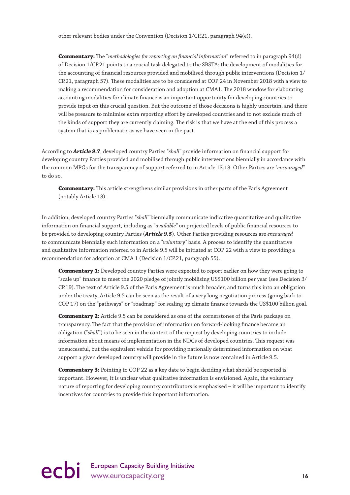other relevant bodies under the Convention (Decision 1/CP.21, paragraph 94(e)).

**Commentary:** The "*methodologies for reporting on financial information*" referred to in paragraph 94(d) of Decision 1/CP.21 points to a crucial task delegated to the SBSTA: the development of modalities for the accounting of financial resources provided and mobilised through public interventions (Decision 1/ CP.21, paragraph 57). These modalities are to be considered at COP 24 in November 2018 with a view to making a recommendation for consideration and adoption at CMA1. The 2018 window for elaborating accounting modalities for climate finance is an important opportunity for developing countries to provide input on this crucial question. But the outcome of those decisions is highly uncertain, and there will be pressure to minimise extra reporting effort by developed countries and to not exclude much of the kinds of support they are currently claiming. The risk is that we have at the end of this process a system that is as problematic as we have seen in the past.

According to *Article 9.7*, developed country Parties "*shall"* provide information on financial support for developing country Parties provided and mobilised through public interventions biennially in accordance with the common MPGs for the transparency of support referred to in Article 13.13. Other Parties are "*encouraged"* to do so.

**Commentary:** This article strengthens similar provisions in other parts of the Paris Agreement (notably Article 13).

In addition, developed country Parties "*shall"* biennially communicate indicative quantitative and qualitative information on financial support, including as "*available"* on projected levels of public financial resources to be provided to developing country Parties (*Article 9.5*). Other Parties providing resources are *encouraged* to communicate biennially such information on a "*voluntary"* basis. A process to identify the quantitative and qualitative information referred to in Article 9.5 will be initiated at COP 22 with a view to providing a recommendation for adoption at CMA 1 (Decision 1/CP.21, paragraph 55).

**Commentary 1:** Developed country Parties were expected to report earlier on how they were going to "scale up" finance to meet the 2020 pledge of jointly mobilising US\$100 billion per year (see Decision 3/ CP.19). The text of Article 9.5 of the Paris Agreement is much broader, and turns this into an obligation under the treaty. Article 9.5 can be seen as the result of a very long negotiation process (going back to COP 17) on the "pathways" or "roadmap" for scaling up climate finance towards the US\$100 billion goal.

**Commentary 2:** Article 9.5 can be considered as one of the cornerstones of the Paris package on transparency. The fact that the provision of information on forward-looking finance became an obligation ("*shall*") is to be seen in the context of the request by developing countries to include information about means of implementation in the NDCs of developed countries. This request was unsuccessful, but the equivalent vehicle for providing nationally determined information on what support a given developed country will provide in the future is now contained in Article 9.5.

**Commentary 3:** Pointing to COP 22 as a key date to begin deciding what should be reported is important. However, it is unclear what qualitative information is envisioned. Again, the voluntary nature of reporting for developing country contributors is emphasised – it will be important to identify incentives for countries to provide this important information.

## ecbi European Capacity Building Initiative<br> **16** www.eurocapacity.org **16**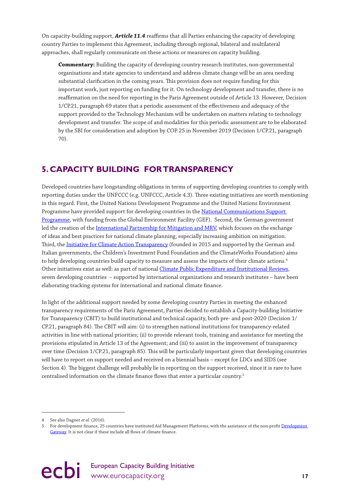<span id="page-18-0"></span>On capacity-building support, *Article 11.4* reaffirms that all Parties enhancing the capacity of developing country Parties to implement this Agreement, including through regional, bilateral and multilateral approaches, shall regularly communicate on these actions or measures on capacity building.

**Commentary:** Building the capacity of developing country research institutes, non-governmental organisations and state agencies to understand and address climate change will be an area needing substantial clarification in the coming years. This provision does not require funding for this important work, just reporting on funding for it. On technology development and transfer, there is no reaffirmation on the need for reporting in the Paris Agreement outside of Article 13. However, Decision 1/CP.21, paragraph 69 states that a periodic assessment of the effectiveness and adequacy of the support provided to the Technology Mechanism will be undertaken on matters relating to technology development and transfer. The scope of and modalities for this periodic assessment are to be elaborated by the SBI for consideration and adoption by COP 25 in November 2019 (Decision 1/CP.21, paragraph 70).

### **5. CAPACITY BUILDING FOR TRANSPARENCY**

Developed countries have longstanding obligations in terms of supporting developing countries to comply with reporting duties under the UNFCCC (e.g. UNFCCC, Article 4.3). Three existing initiatives are worth mentioning in this regard. First, the United Nations Development Programme and the United Nations Environment Programme have provided support for developing countries in the [National Communications Support](http://ncsp.undp.org/)  [Programme,](http://ncsp.undp.org/) with funding from the Global Environment Facility (GEF). Second, the German government led the creation of the [International Partnership for Mitigation and MRV,](http://mitigationpartnership.net/) which focuses on the exchange of ideas and best practices for national climate planning, especially increasing ambition on mitigation. Third, the [Initiative for Climate Action Transparency](http://www.climateactiontransparency.org/) (founded in 2015 and supported by the German and Italian governments, the Children's Investment Fund Foundation and the ClimateWorks Foundation) aims to help developing countries build capacity to measure and assess the impacts of their climate actions.<sup>4</sup> Other initiatives exist as well: as part of national [Climate Public Expenditure and Institutional Reviews,](https://www.climatefinance-developmenteffectiveness.org/CPEIR-Database) seven developing countries – supported by international organizations and research institutes – have been elaborating tracking systems for international and national climate finance.

In light of the additional support needed by some developing country Parties in meeting the enhanced transparency requirements of the Paris Agreement, Parties decided to establish a Capacity-building Initiative for Transparency (CBIT) to build institutional and technical capacity, both pre- and post-2020 (Decision 1/ CP.21, paragraph 84). The CBIT will aim: (i) to strengthen national institutions for transparency-related activities in line with national priorities; (ii) to provide relevant tools, training and assistance for meeting the provisions stipulated in Article 13 of the Agreement; and (iii) to assist in the improvement of transparency over time (Decision 1/CP.21, paragraph 85). This will be particularly important given that developing countries will have to report on support needed and received on a biennial basis – except for LDCs and SIDS (see Section 4). The biggest challenge will probably lie in reporting on the support received, since it is rare to have centralised information on the climate finance flows that enter a particular country.5

<sup>4</sup> See also Dagnet *et al.* (2016).

For development finance, 25 countries have instituted Aid Management Platforms, with the assistance of the non-profit Development [Gateway.](http://www.developmentgateway.org/expertise/amp/) It is not clear if these include all flows of climate finance.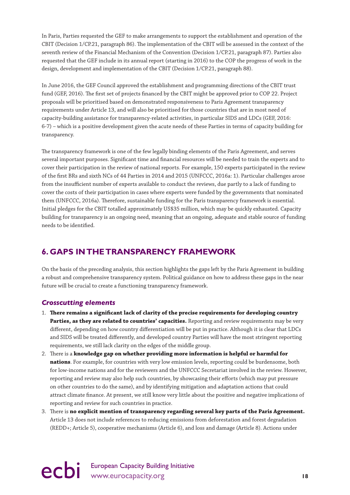<span id="page-19-0"></span>In Paris, Parties requested the GEF to make arrangements to support the establishment and operation of the CBIT (Decision 1/CP.21, paragraph 86). The implementation of the CBIT will be assessed in the context of the seventh review of the Financial Mechanism of the Convention (Decision 1/CP.21, paragraph 87). Parties also requested that the GEF include in its annual report (starting in 2016) to the COP the progress of work in the design, development and implementation of the CBIT (Decision 1/CP.21, paragraph 88).

In June 2016, the GEF Council approved the establishment and programming directions of the CBIT trust fund (GEF, 2016). The first set of projects financed by the CBIT might be approved prior to COP 22. Project proposals will be prioritised based on demonstrated responsiveness to Paris Agreement transparency requirements under Article 13, and will also be prioritised for those countries that are in most need of capacity-building assistance for transparency-related activities, in particular SIDS and LDCs (GEF, 2016: 6-7) – which is a positive development given the acute needs of these Parties in terms of capacity building for transparency.

The transparency framework is one of the few legally binding elements of the Paris Agreement, and serves several important purposes. Significant time and financial resources will be needed to train the experts and to cover their participation in the review of national reports. For example, 150 experts participated in the review of the first BRs and sixth NCs of 44 Parties in 2014 and 2015 (UNFCCC, 2016a: 1). Particular challenges arose from the insufficient number of experts available to conduct the reviews, due partly to a lack of funding to cover the costs of their participation in cases where experts were funded by the governments that nominated them (UNFCCC, 2016a). Therefore, sustainable funding for the Paris transparency framework is essential. Initial pledges for the CBIT totalled approximately US\$35 million, which may be quickly exhausted. Capacity building for transparency is an ongoing need, meaning that an ongoing, adequate and stable source of funding needs to be identified.

### **6. GAPS IN THE TRANSPARENCY FRAMEWORK**

On the basis of the preceding analysis, this section highlights the gaps left by the Paris Agreement in building a robust and comprehensive transparency system. Political guidance on how to address these gaps in the near future will be crucial to create a functioning transparency framework.

### *Crosscutting elements*

- 1. **There remains a significant lack of clarity of the precise requirements for developing country**  Parties, as they are related to countries' capacities. Reporting and review requirements may be very different, depending on how country differentiation will be put in practice. Although it is clear that LDCs and SIDS will be treated differently, and developed country Parties will have the most stringent reporting requirements, we still lack clarity on the edges of the middle group.
- 2. There is a **knowledge gap on whether providing more information is helpful or harmful for nations**. For example, for countries with very low emission levels, reporting could be burdensome, both for low-income nations and for the reviewers and the UNFCCC Secretariat involved in the review. However, reporting and review may also help such countries, by showcasing their efforts (which may put pressure on other countries to do the same), and by identifying mitigation and adaptation actions that could attract climate finance. At present, we still know very little about the positive and negative implications of reporting and review for such countries in practice.
- 3. There is **no explicit mention of transparency regarding several key parts of the Paris Agreement.** Article 13 does not include references to reducing emissions from deforestation and forest degradation (REDD+; Article 5), cooperative mechanisms (Article 6), and loss and damage (Article 8). Actions under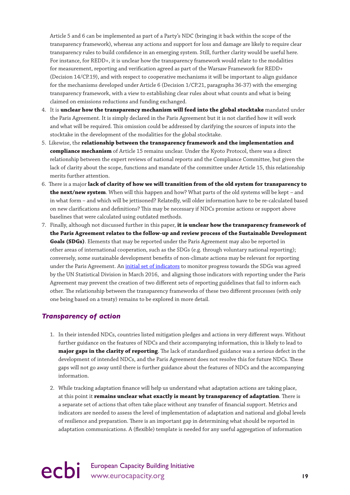Article 5 and 6 can be implemented as part of a Party's NDC (bringing it back within the scope of the transparency framework), whereas any actions and support for loss and damage are likely to require clear transparency rules to build confidence in an emerging system. Still, further clarity would be useful here. For instance, for REDD+, it is unclear how the transparency framework would relate to the modalities for measurement, reporting and verification agreed as part of the Warsaw Framework for REDD+ (Decision 14/CP.19), and with respect to cooperative mechanisms it will be important to align guidance for the mechanisms developed under Article 6 (Decision 1/CP.21, paragraphs 36-37) with the emerging transparency framework, with a view to establishing clear rules about what counts and what is being claimed on emissions reductions and funding exchanged.

- 4. It is **unclear how the transparency mechanism will feed into the global stocktake** mandated under the Paris Agreement. It is simply declared in the Paris Agreement but it is not clarified how it will work and what will be required. This omission could be addressed by clarifying the sources of inputs into the stocktake in the development of the modalities for the global stocktake.
- 5. Likewise, the **relationship between the transparency framework and the implementation and compliance mechanism** of Article 15 remains unclear. Under the Kyoto Protocol, there was a direct relationship between the expert reviews of national reports and the Compliance Committee, but given the lack of clarity about the scope, functions and mandate of the committee under Article 15, this relationship merits further attention.
- 6. There is a major **lack of clarity of how we will transition from of the old system for transparency to the next/new system**. When will this happen and how? What parts of the old systems will be kept – and in what form – and which will be jettisoned? Relatedly, will older information have to be re-calculated based on new clarifications and definitions? This may be necessary if NDCs promise actions or support above baselines that were calculated using outdated methods.
- 7. Finally, although not discussed further in this paper, **it is unclear how the transparency framework of the Paris Agreement relates to the follow-up and review process of the Sustainable Development Goals (SDGs)**. Elements that may be reported under the Paris Agreement may also be reported in other areas of international cooperation, such as the SDGs (e.g. through voluntary national reporting); conversely, some sustainable development benefits of non-climate actions may be relevant for reporting under the Paris Agreement. An *initial set of indicators* to monitor progress towards the SDGs was agreed by the UN Statistical Division in March 2016, and aligning those indicators with reporting under the Paris Agreement may prevent the creation of two different sets of reporting guidelines that fail to inform each other. The relationship between the transparency frameworks of these two different processes (with only one being based on a treaty) remains to be explored in more detail.

### *Transparency of action*

- 1. In their intended NDCs, countries listed mitigation pledges and actions in very different ways. Without further guidance on the features of NDCs and their accompanying information, this is likely to lead to **major gaps in the clarity of reporting**. The lack of standardised guidance was a serious defect in the development of intended NDCs, and the Paris Agreement does not resolve this for future NDCs. These gaps will not go away until there is further guidance about the features of NDCs and the accompanying information.
- 2. While tracking adaptation finance will help us understand what adaptation actions are taking place, at this point it **remains unclear what exactly is meant by transparency of adaptation**. There is a separate set of actions that often take place without any transfer of financial support. Metrics and indicators are needed to assess the level of implementation of adaptation and national and global levels of resilience and preparation. There is an important gap in determining what should be reported in adaptation communications. A (flexible) template is needed for any useful aggregation of information

## ecbi European Capacity Building Initiative<br>
19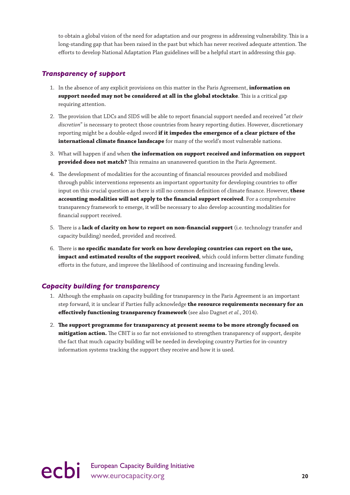to obtain a global vision of the need for adaptation and our progress in addressing vulnerability. This is a long-standing gap that has been raised in the past but which has never received adequate attention. The efforts to develop National Adaptation Plan guidelines will be a helpful start in addressing this gap.

### *Transparency of support*

- 1. In the absence of any explicit provisions on this matter in the Paris Agreement, **information on support needed may not be considered at all in the global stocktake**. This is a critical gap requiring attention.
- 2. The provision that LDCs and SIDS will be able to report financial support needed and received "*at their discretion*" is necessary to protect those countries from heavy reporting duties. However, discretionary reporting might be a double-edged sword **if it impedes the emergence of a clear picture of the international climate finance landscape** for many of the world's most vulnerable nations.
- 3. What will happen if and when **the information on support received and information on support provided does not match?** This remains an unanswered question in the Paris Agreement.
- 4. The development of modalities for the accounting of financial resources provided and mobilised through public interventions represents an important opportunity for developing countries to offer input on this crucial question as there is still no common definition of climate finance. However, **these accounting modalities will not apply to the financial support received**. For a comprehensive transparency framework to emerge, it will be necessary to also develop accounting modalities for financial support received.
- 5. There is a **lack of clarity on how to report on non-financial support** (i.e. technology transfer and capacity building) needed, provided and received.
- 6. There is **no specific mandate for work on how developing countries can report on the use, impact and estimated results of the support received**, which could inform better climate funding efforts in the future, and improve the likelihood of continuing and increasing funding levels.

### *Capacity building for transparency*

- 1. Although the emphasis on capacity building for transparency in the Paris Agreement is an important step forward, it is unclear if Parties fully acknowledge **the resource requirements necessary for an effectively functioning transparency framework** (see also Dagnet *et al.*, 2014).
- 2. **The support programme for transparency at present seems to be more strongly focused on mitigation action.** The CBIT is so far not envisioned to strengthen transparency of support, despite the fact that much capacity building will be needed in developing country Parties for in-country information systems tracking the support they receive and how it is used.

ecbi European Capacity Building Initiative **20**<br>and European Capacity.org **20**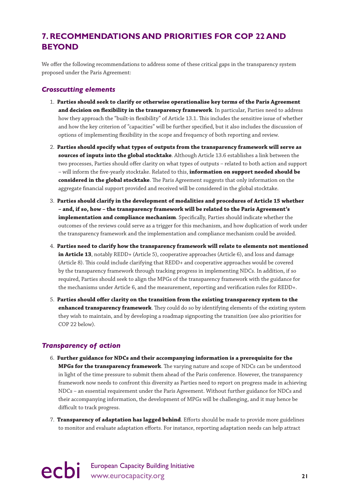### <span id="page-22-0"></span>**7. RECOMMENDATIONS AND PRIORITIES FOR COP 22 AND BEYOND**

We offer the following recommendations to address some of these critical gaps in the transparency system proposed under the Paris Agreement:

#### *Crosscutting elements*

- 1. **Parties should seek to clarify or otherwise operationalise key terms of the Paris Agreement and decision on flexibility in the transparency framework**. In particular, Parties need to address how they approach the "built-in flexibility" of Article 13.1. This includes the sensitive issue of whether and how the key criterion of "capacities" will be further specified, but it also includes the discussion of options of implementing flexibility in the scope and frequency of both reporting and review.
- 2. **Parties should specify what types of outputs from the transparency framework will serve as sources of inputs into the global stocktake**. Although Article 13.6 establishes a link between the two processes, Parties should offer clarity on what types of outputs – related to both action and support – will inform the five-yearly stocktake. Related to this, **information on support needed should be considered in the global stocktake**. The Paris Agreement suggests that only information on the aggregate financial support provided and received will be considered in the global stocktake.
- 3. **Parties should clarify in the development of modalities and procedures of Article 15 whether – and, if so, how – the transparency framework will be related to the Paris Agreement's implementation and compliance mechanism**. Specifically, Parties should indicate whether the outcomes of the reviews could serve as a trigger for this mechanism, and how duplication of work under the transparency framework and the implementation and compliance mechanism could be avoided.
- 4. **Parties need to clarify how the transparency framework will relate to elements not mentioned in Article 13**, notably REDD+ (Article 5), cooperative approaches (Article 6), and loss and damage (Article 8). This could include clarifying that REDD+ and cooperative approaches would be covered by the transparency framework through tracking progress in implementing NDCs. In addition, if so required, Parties should seek to align the MPGs of the transparency framework with the guidance for the mechanisms under Article 6, and the measurement, reporting and verification rules for REDD+.
- 5. **Parties should offer clarity on the transition from the existing transparency system to the enhanced transparency framework**. They could do so by identifying elements of the existing system they wish to maintain, and by developing a roadmap signposting the transition (see also priorities for COP 22 below).

### *Transparency of action*

- 6. **Further guidance for NDCs and their accompanying information is a prerequisite for the MPGs for the transparency framework**. The varying nature and scope of NDCs can be understood in light of the time pressure to submit them ahead of the Paris conference. However, the transparency framework now needs to confront this diversity as Parties need to report on progress made in achieving NDCs – an essential requirement under the Paris Agreement. Without further guidance for NDCs and their accompanying information, the development of MPGs will be challenging, and it may hence be difficult to track progress.
- 7. **Transparency of adaptation has lagged behind**. Efforts should be made to provide more guidelines to monitor and evaluate adaptation efforts. For instance, reporting adaptation needs can help attract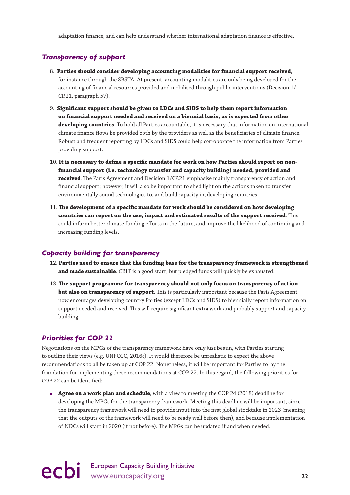adaptation finance, and can help understand whether international adaptation finance is effective.

### *Transparency of support*

- 8. **Parties should consider developing accounting modalities for financial support received**, for instance through the SBSTA. At present, accounting modalities are only being developed for the accounting of financial resources provided and mobilised through public interventions (Decision 1/ CP.21, paragraph 57).
- 9. **Significant support should be given to LDCs and SIDS to help them report information on financial support needed and received on a biennial basis, as is expected from other developing countries**. To hold all Parties accountable, it is necessary that information on international climate finance flows be provided both by the providers as well as the beneficiaries of climate finance. Robust and frequent reporting by LDCs and SIDS could help corroborate the information from Parties providing support.
- 10. **It is necessary to define a specific mandate for work on how Parties should report on nonfinancial support (i.e. technology transfer and capacity building) needed, provided and received**. The Paris Agreement and Decision 1/CP.21 emphasise mainly transparency of action and financial support; however, it will also be important to shed light on the actions taken to transfer environmentally sound technologies to, and build capacity in, developing countries.
- 11. **The development of a specific mandate for work should be considered on how developing countries can report on the use, impact and estimated results of the support received**. This could inform better climate funding efforts in the future, and improve the likelihood of continuing and increasing funding levels.

### *Capacity building for transparency*

- 12. **Parties need to ensure that the funding base for the transparency framework is strengthened and made sustainable**. CBIT is a good start, but pledged funds will quickly be exhausted.
- 13. **The support programme for transparency should not only focus on transparency of action but also on transparency of support**. This is particularly important because the Paris Agreement now encourages developing country Parties (except LDCs and SIDS) to biennially report information on support needed and received. This will require significant extra work and probably support and capacity building.

### *Priorities for COP 22*

Negotiations on the MPGs of the transparency framework have only just begun, with Parties starting to outline their views (e.g. UNFCCC, 2016c). It would therefore be unrealistic to expect the above recommendations to all be taken up at COP 22. Nonetheless, it will be important for Parties to lay the foundation for implementing these recommendations at COP 22. In this regard, the following priorities for COP 22 can be identified:

● **Agree on a work plan and schedule**, with a view to meeting the COP 24 (2018) deadline for developing the MPGs for the transparency framework. Meeting this deadline will be important, since the transparency framework will need to provide input into the first global stocktake in 2023 (meaning that the outputs of the framework will need to be ready well before then), and because implementation of NDCs will start in 2020 (if not before). The MPGs can be updated if and when needed.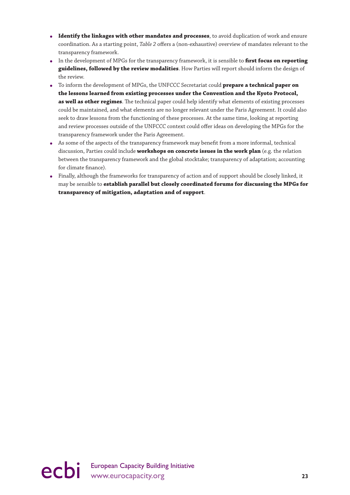- **Identify the linkages with other mandates and processes**, to avoid duplication of work and ensure coordination. As a starting point, *Table 2* offers a (non-exhaustive) overview of mandates relevant to the transparency framework.
- In the development of MPGs for the transparency framework, it is sensible to **first focus on reporting guidelines, followed by the review modalities**. How Parties will report should inform the design of the review.
- To inform the development of MPGs, the UNFCCC Secretariat could **prepare a technical paper on the lessons learned from existing processes under the Convention and the Kyoto Protocol, as well as other regimes**. The technical paper could help identify what elements of existing processes could be maintained, and what elements are no longer relevant under the Paris Agreement. It could also seek to draw lessons from the functioning of these processes. At the same time, looking at reporting and review processes outside of the UNFCCC context could offer ideas on developing the MPGs for the transparency framework under the Paris Agreement.
- As some of the aspects of the transparency framework may benefit from a more informal, technical discussion, Parties could include **workshops on concrete issues in the work plan** (e.g. the relation between the transparency framework and the global stocktake; transparency of adaptation; accounting for climate finance).
- Finally, although the frameworks for transparency of action and of support should be closely linked, it may be sensible to **establish parallel but closely coordinated forums for discussing the MPGs for transparency of mitigation, adaptation and of support**.

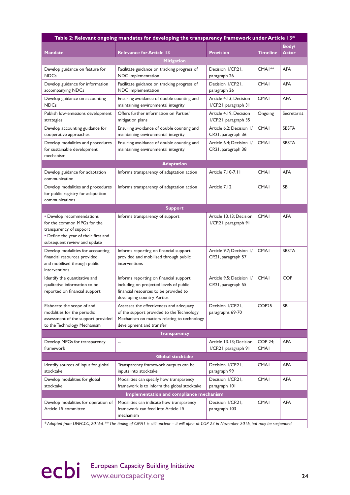| Table 2: Relevant ongoing mandates for developing the transparency framework under Article 13*                                                              |                                                                                                                                                                 |                                                  |                               |                       |  |  |  |
|-------------------------------------------------------------------------------------------------------------------------------------------------------------|-----------------------------------------------------------------------------------------------------------------------------------------------------------------|--------------------------------------------------|-------------------------------|-----------------------|--|--|--|
| <b>Mandate</b>                                                                                                                                              | <b>Relevance for Article 13</b>                                                                                                                                 | <b>Provision</b>                                 | <b>Timeline</b>               | Body/<br><b>Actor</b> |  |  |  |
|                                                                                                                                                             | <b>Mitigation</b>                                                                                                                                               |                                                  |                               |                       |  |  |  |
| Develop guidance on feature for<br><b>NDCs</b>                                                                                                              | Facilitate guidance on tracking progress of<br>NDC implementation                                                                                               | Decision I/CP.21,<br>paragraph 26                | CMA <sub>1</sub> **           | <b>APA</b>            |  |  |  |
| Develop guidance for information<br>accompanying NDCs                                                                                                       | Facilitate guidance on tracking progress of<br>NDC implementation                                                                                               | Decision I/CP.21,<br>paragraph 26                | <b>CMAI</b>                   | <b>APA</b>            |  |  |  |
| Develop guidance on accounting<br><b>NDCs</b>                                                                                                               | Ensuring avoidance of double counting and<br>maintaining environmental integrity                                                                                | Article 4.13: Decision<br>I/CP.21, paragraph 31  | <b>CMAI</b>                   | <b>APA</b>            |  |  |  |
| Publish low-emissions development<br>strategies                                                                                                             | Offers further information on Parties'<br>mitigation plans                                                                                                      | Article 4.19: Decision<br>I/CP.21, paragraph 35  | Ongoing                       | Secretariat           |  |  |  |
| Develop accounting guidance for<br>cooperative approaches                                                                                                   | Ensuring avoidance of double counting and<br>maintaining environmental integrity                                                                                | Article 6.2; Decision 1/<br>CP.21, paragraph 36  | <b>CMAI</b>                   | <b>SBSTA</b>          |  |  |  |
| Develop modalities and procedures<br>for sustainable development<br>mechanism                                                                               | Ensuring avoidance of double counting and<br>maintaining environmental integrity                                                                                | Article 6.4; Decision 1/<br>CP.21, paragraph 38  | <b>CMAI</b>                   | <b>SBSTA</b>          |  |  |  |
|                                                                                                                                                             | <b>Adaptation</b>                                                                                                                                               |                                                  |                               |                       |  |  |  |
| Develop guidance for adaptation<br>communication                                                                                                            | Informs transparency of adaptation action                                                                                                                       | Article 7.10-7.11                                | <b>CMAI</b>                   | <b>APA</b>            |  |  |  |
| Develop modalities and procedures<br>for public registry for adaptation<br>communications                                                                   | Informs transparency of adaptation action                                                                                                                       | Article 7.12                                     | <b>CMAI</b>                   | SBI                   |  |  |  |
|                                                                                                                                                             | <b>Support</b>                                                                                                                                                  |                                                  |                               |                       |  |  |  |
| • Develop recommendations<br>for the common MPGs for the<br>transparency of support<br>• Define the year of their first and<br>subsequent review and update | Informs transparency of support                                                                                                                                 | Article 13.13; Decision<br>I/CP.21, paragraph 91 | <b>CMA1</b>                   | <b>APA</b>            |  |  |  |
| Develop modalities for accounting<br>financial resources provided<br>and mobilised through public<br>interventions                                          | Informs reporting on financial support<br>provided and mobilised through public<br>interventions                                                                | Article 9.7; Decision 1/<br>CP.21, paragraph 57  | <b>CMAI</b>                   | <b>SBSTA</b>          |  |  |  |
| Identify the quantitative and<br>qualitative information to be<br>reported on financial support                                                             | Informs reporting on financial support,<br>including on projected levels of public<br>financial resources to be provided to<br>developing country Parties       | Article 9.5; Decision 1/<br>CP.21, paragraph 55  | <b>CMA1</b>                   | <b>COP</b>            |  |  |  |
| Elaborate the scope of and<br>modalities for the periodic<br>assessment of the support provided<br>to the Technology Mechanism                              | Assesses the effectiveness and adequacy<br>of the support provided to the Technology<br>Mechanism on matters relating to technology<br>development and transfer | Decision I/CP.21,<br>paragraphs 69-70            | COP <sub>25</sub>             | <b>SBI</b>            |  |  |  |
|                                                                                                                                                             | <b>Transparency</b>                                                                                                                                             |                                                  |                               |                       |  |  |  |
| Develop MPGs for transparency<br>framework                                                                                                                  | $\overline{\phantom{a}}$                                                                                                                                        | Article 13.13; Decision<br>I/CP.21, paragraph 91 | <b>COP 24:</b><br><b>CMAI</b> | <b>APA</b>            |  |  |  |
|                                                                                                                                                             | <b>Global stocktake</b>                                                                                                                                         |                                                  |                               |                       |  |  |  |
| Identify sources of input for global<br>stocktake                                                                                                           | Transparency framework outputs can be<br>inputs into stocktake                                                                                                  | Decision I/CP.21,<br>paragraph 99                | <b>CMAI</b>                   | <b>APA</b>            |  |  |  |
| Develop modalities for global<br>stocktake                                                                                                                  | Modalities can specify how transparency<br>framework is to inform the global stocktake                                                                          | Decision I/CP.21,<br>paragraph 101               | <b>CMAI</b>                   | <b>APA</b>            |  |  |  |
| Implementation and compliance mechanism                                                                                                                     |                                                                                                                                                                 |                                                  |                               |                       |  |  |  |
| Develop modalities for operation of<br>Article 15 committee                                                                                                 | Modalities can indicate how transparency<br>framework can feed into Article 15<br>mechanism                                                                     | Decision I/CP.21,<br>paragraph 103               | <b>CMAI</b>                   | <b>APA</b>            |  |  |  |
| * Adapted from UNFCCC, 2016d. ** The timing of CMA1 is still unclear - it will open at COP 22 in November 2016, but may be suspended.                       |                                                                                                                                                                 |                                                  |                               |                       |  |  |  |

ecbi European Capacity Building Initiative<br>
24